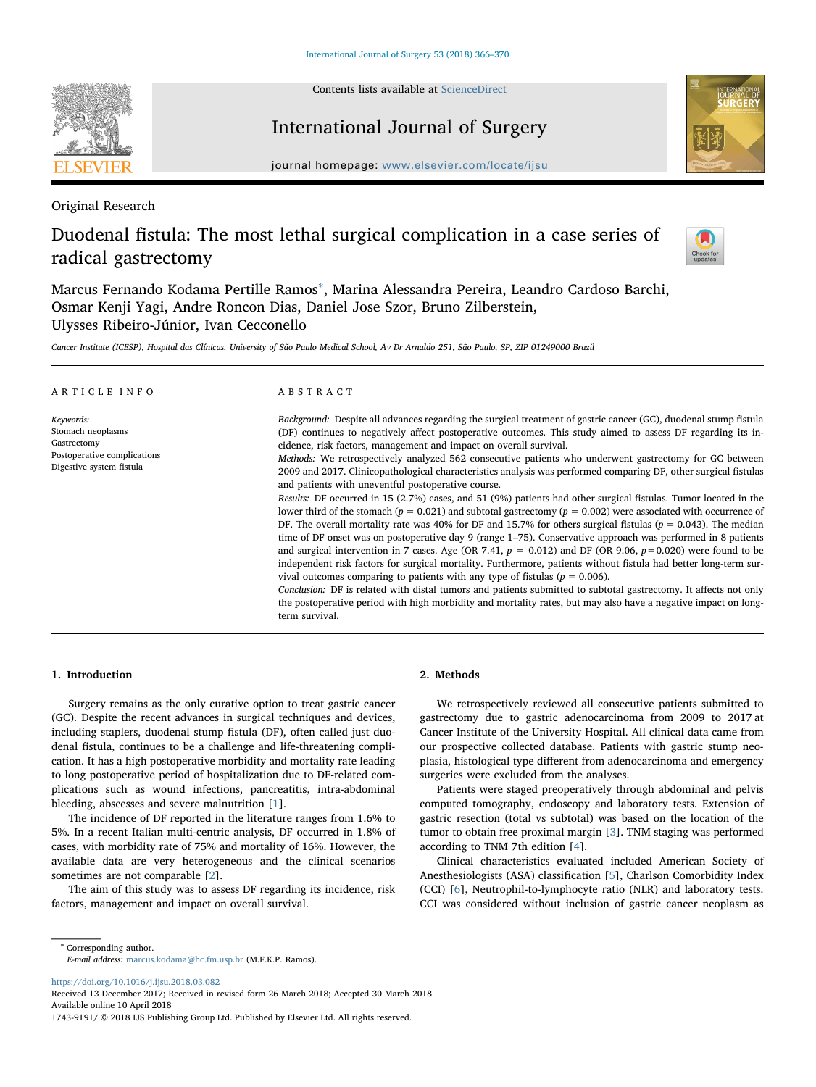Contents lists available at [ScienceDirect](http://www.sciencedirect.com/science/journal/17439191)



# International Journal of Surgery



journal homepage: [www.elsevier.com/locate/ijsu](https://www.elsevier.com/locate/ijsu)

Original Research

# Duodenal fistula: The most lethal surgical complication in a case series of radical gastrectomy



Marcus Fernando Kodama Pertille Ramos<sup>[∗](#page-0-0)</sup>, Marina Alessandra Pereira, Leandro Cardoso Barchi, Osmar Kenji Yagi, Andre Roncon Dias, Daniel Jose Szor, Bruno Zilberstein, Ulysses Ribeiro-Júnior, Ivan Cecconello

Cancer Institute (ICESP), Hospital das Clínicas, University of São Paulo Medical School, Av Dr Arnaldo 251, São Paulo, SP, ZIP 01249000 Brazil

| ARTICLE INFO                                                                                             | ABSTRACT                                                                                                                                                                                                                                                                                                                                                                                                                                                                                                                                                                                                                                                                                                                                                                                                                                                                                                                                                                                                                                                                                                                                                                                                                                                                                                                                                                                                                                                                                                                                                                                                                                                           |  |  |
|----------------------------------------------------------------------------------------------------------|--------------------------------------------------------------------------------------------------------------------------------------------------------------------------------------------------------------------------------------------------------------------------------------------------------------------------------------------------------------------------------------------------------------------------------------------------------------------------------------------------------------------------------------------------------------------------------------------------------------------------------------------------------------------------------------------------------------------------------------------------------------------------------------------------------------------------------------------------------------------------------------------------------------------------------------------------------------------------------------------------------------------------------------------------------------------------------------------------------------------------------------------------------------------------------------------------------------------------------------------------------------------------------------------------------------------------------------------------------------------------------------------------------------------------------------------------------------------------------------------------------------------------------------------------------------------------------------------------------------------------------------------------------------------|--|--|
| Keywords:<br>Stomach neoplasms<br>Gastrectomy<br>Postoperative complications<br>Digestive system fistula | Background: Despite all advances regarding the surgical treatment of gastric cancer (GC), duodenal stump fistula<br>(DF) continues to negatively affect postoperative outcomes. This study aimed to assess DF regarding its in-<br>cidence, risk factors, management and impact on overall survival.<br><i>Methods:</i> We retrospectively analyzed 562 consecutive patients who underwent gastrectomy for GC between<br>2009 and 2017. Clinicopathological characteristics analysis was performed comparing DF, other surgical fistulas<br>and patients with uneventful postoperative course.<br>Results: DF occurred in 15 (2.7%) cases, and 51 (9%) patients had other surgical fistulas. Tumor located in the<br>lower third of the stomach ( $p = 0.021$ ) and subtotal gastrectomy ( $p = 0.002$ ) were associated with occurrence of<br>DF. The overall mortality rate was 40% for DF and 15.7% for others surgical fistulas ( $p = 0.043$ ). The median<br>time of DF onset was on postoperative day 9 (range 1-75). Conservative approach was performed in 8 patients<br>and surgical intervention in 7 cases. Age (OR 7.41, $p = 0.012$ ) and DF (OR 9.06, $p = 0.020$ ) were found to be<br>independent risk factors for surgical mortality. Furthermore, patients without fistula had better long-term sur-<br>vival outcomes comparing to patients with any type of fistulas ( $p = 0.006$ ).<br>Conclusion: DF is related with distal tumors and patients submitted to subtotal gastrectomy. It affects not only<br>the postoperative period with high morbidity and mortality rates, but may also have a negative impact on long-<br>term survival. |  |  |

## 1. Introduction

Surgery remains as the only curative option to treat gastric cancer (GC). Despite the recent advances in surgical techniques and devices, including staplers, duodenal stump fistula (DF), often called just duodenal fistula, continues to be a challenge and life-threatening complication. It has a high postoperative morbidity and mortality rate leading to long postoperative period of hospitalization due to DF-related complications such as wound infections, pancreatitis, intra-abdominal bleeding, abscesses and severe malnutrition [\[1\]](#page-4-0).

The incidence of DF reported in the literature ranges from 1.6% to 5%. In a recent Italian multi-centric analysis, DF occurred in 1.8% of cases, with morbidity rate of 75% and mortality of 16%. However, the available data are very heterogeneous and the clinical scenarios sometimes are not comparable [[2](#page-4-1)].

The aim of this study was to assess DF regarding its incidence, risk factors, management and impact on overall survival.

# 2. Methods

We retrospectively reviewed all consecutive patients submitted to gastrectomy due to gastric adenocarcinoma from 2009 to 2017 at Cancer Institute of the University Hospital. All clinical data came from our prospective collected database. Patients with gastric stump neoplasia, histological type different from adenocarcinoma and emergency surgeries were excluded from the analyses.

Patients were staged preoperatively through abdominal and pelvis computed tomography, endoscopy and laboratory tests. Extension of gastric resection (total vs subtotal) was based on the location of the tumor to obtain free proximal margin [\[3\]](#page-4-2). TNM staging was performed according to TNM 7th edition [[4](#page-4-3)].

Clinical characteristics evaluated included American Society of Anesthesiologists (ASA) classification [[5](#page-4-4)], Charlson Comorbidity Index (CCI) [[6](#page-4-5)], Neutrophil-to-lymphocyte ratio (NLR) and laboratory tests. CCI was considered without inclusion of gastric cancer neoplasm as

<span id="page-0-0"></span><sup>∗</sup> Corresponding author. E-mail address: [marcus.kodama@hc.fm.usp.br](mailto:marcus.kodama@hc.fm.usp.br) (M.F.K.P. Ramos).

<https://doi.org/10.1016/j.ijsu.2018.03.082>

Received 13 December 2017; Received in revised form 26 March 2018; Accepted 30 March 2018 Available online 10 April 2018

<sup>1743-9191/ © 2018</sup> IJS Publishing Group Ltd. Published by Elsevier Ltd. All rights reserved.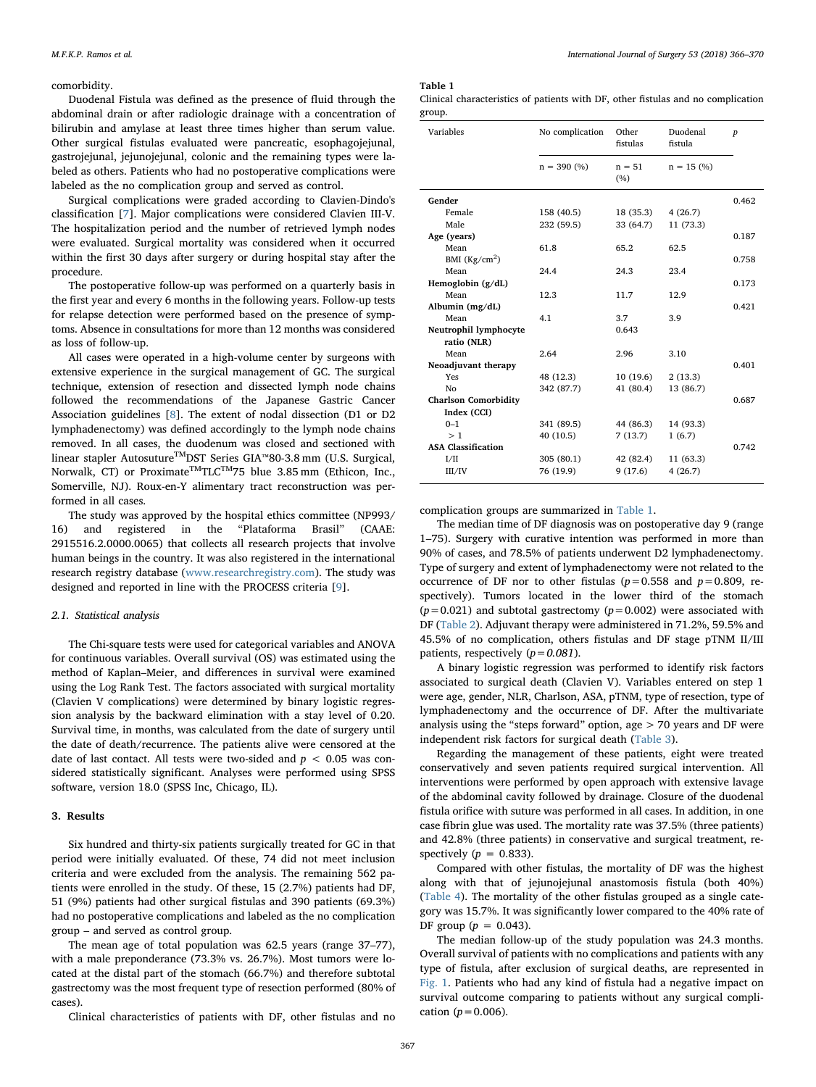## comorbidity.

Duodenal Fistula was defined as the presence of fluid through the abdominal drain or after radiologic drainage with a concentration of bilirubin and amylase at least three times higher than serum value. Other surgical fistulas evaluated were pancreatic, esophagojejunal, gastrojejunal, jejunojejunal, colonic and the remaining types were labeled as others. Patients who had no postoperative complications were labeled as the no complication group and served as control.

Surgical complications were graded according to Clavien-Dindo's classification [[7](#page-4-6)]. Major complications were considered Clavien III-V. The hospitalization period and the number of retrieved lymph nodes were evaluated. Surgical mortality was considered when it occurred within the first 30 days after surgery or during hospital stay after the procedure.

The postoperative follow-up was performed on a quarterly basis in the first year and every 6 months in the following years. Follow-up tests for relapse detection were performed based on the presence of symptoms. Absence in consultations for more than 12 months was considered as loss of follow-up.

All cases were operated in a high-volume center by surgeons with extensive experience in the surgical management of GC. The surgical technique, extension of resection and dissected lymph node chains followed the recommendations of the Japanese Gastric Cancer Association guidelines [[8](#page-4-7)]. The extent of nodal dissection (D1 or D2 lymphadenectomy) was defined accordingly to the lymph node chains removed. In all cases, the duodenum was closed and sectioned with linear stapler AutosutureTMDST Series GIA™80-3.8 mm (U.S. Surgical, Norwalk, CT) or Proximate<sup>™</sup>TLC<sup>™75</sup> blue 3.85 mm (Ethicon, Inc., Somerville, NJ). Roux-en-Y alimentary tract reconstruction was performed in all cases.

The study was approved by the hospital ethics committee (NP993/ 16) and registered in the "Plataforma Brasil" (CAAE: 2915516.2.0000.0065) that collects all research projects that involve human beings in the country. It was also registered in the international research registry database ([www.researchregistry.com\)](http://www.researchregistry.com/). The study was designed and reported in line with the PROCESS criteria [\[9\]](#page-4-8).

## 2.1. Statistical analysis

The Chi-square tests were used for categorical variables and ANOVA for continuous variables. Overall survival (OS) was estimated using the method of Kaplan–Meier, and differences in survival were examined using the Log Rank Test. The factors associated with surgical mortality (Clavien V complications) were determined by binary logistic regression analysis by the backward elimination with a stay level of 0.20. Survival time, in months, was calculated from the date of surgery until the date of death/recurrence. The patients alive were censored at the date of last contact. All tests were two-sided and  $p < 0.05$  was considered statistically significant. Analyses were performed using SPSS software, version 18.0 (SPSS Inc, Chicago, IL).

# 3. Results

Six hundred and thirty-six patients surgically treated for GC in that period were initially evaluated. Of these, 74 did not meet inclusion criteria and were excluded from the analysis. The remaining 562 patients were enrolled in the study. Of these, 15 (2.7%) patients had DF, 51 (9%) patients had other surgical fistulas and 390 patients (69.3%) had no postoperative complications and labeled as the no complication group ‒ and served as control group.

The mean age of total population was 62.5 years (range 37–77), with a male preponderance (73.3% vs. 26.7%). Most tumors were located at the distal part of the stomach (66.7%) and therefore subtotal gastrectomy was the most frequent type of resection performed (80% of cases).

Clinical characteristics of patients with DF, other fistulas and no

## <span id="page-1-0"></span>Table 1

Clinical characteristics of patients with DF, other fistulas and no complication group.

| Variables                   | No complication | Other<br>fistulas | Duodenal<br>fistula | $\boldsymbol{p}$ |
|-----------------------------|-----------------|-------------------|---------------------|------------------|
|                             | $n = 390\ (%)$  | $n = 51$<br>(%)   | $n = 15$ (%)        |                  |
| Gender                      |                 |                   |                     | 0.462            |
| Female                      | 158 (40.5)      | 18 (35.3)         | 4(26.7)             |                  |
| Male                        | 232 (59.5)      | 33 (64.7)         | 11 (73.3)           |                  |
| Age (years)                 |                 |                   |                     | 0.187            |
| Mean                        | 61.8            | 65.2              | 62.5                |                  |
| BMI $(Kg/cm2)$              |                 |                   |                     | 0.758            |
| Mean                        | 24.4            | 24.3              | 23.4                |                  |
| Hemoglobin (g/dL)           |                 |                   |                     | 0.173            |
| Mean                        | 12.3            | 11.7              | 12.9                |                  |
| Albumin $(mg/dL)$           |                 |                   |                     | 0.421            |
| Mean                        | 4.1             | 3.7               | 3.9                 |                  |
| Neutrophil lymphocyte       |                 | 0.643             |                     |                  |
| ratio (NLR)                 |                 |                   |                     |                  |
| Mean                        | 2.64            | 2.96              | 3.10                |                  |
| Neoadjuvant therapy         |                 |                   |                     | 0.401            |
| Yes                         | 48 (12.3)       | 10(19.6)          | 2(13.3)             |                  |
| N <sub>0</sub>              | 342 (87.7)      | 41 (80.4)         | 13 (86.7)           |                  |
| <b>Charlson Comorbidity</b> |                 |                   |                     | 0.687            |
| Index (CCI)                 |                 |                   |                     |                  |
| $0 - 1$                     | 341 (89.5)      | 44 (86.3)         | 14 (93.3)           |                  |
| >1                          | 40 (10.5)       | 7(13.7)           | 1(6.7)              |                  |
| <b>ASA Classification</b>   |                 |                   |                     | 0.742            |
| I/II                        | 305 (80.1)      | 42 (82.4)         | 11 (63.3)           |                  |
| III/IV                      | 76 (19.9)       | 9(17.6)           | 4(26.7)             |                  |
|                             |                 |                   |                     |                  |

complication groups are summarized in [Table 1](#page-1-0).

The median time of DF diagnosis was on postoperative day 9 (range 1–75). Surgery with curative intention was performed in more than 90% of cases, and 78.5% of patients underwent D2 lymphadenectomy. Type of surgery and extent of lymphadenectomy were not related to the occurrence of DF nor to other fistulas ( $p=0.558$  and  $p=0.809$ , respectively). Tumors located in the lower third of the stomach  $(p=0.021)$  and subtotal gastrectomy  $(p=0.002)$  were associated with DF [\(Table 2](#page-2-0)). Adjuvant therapy were administered in 71.2%, 59.5% and 45.5% of no complication, others fistulas and DF stage pTNM II/III patients, respectively  $(p=0.081)$ .

A binary logistic regression was performed to identify risk factors associated to surgical death (Clavien V). Variables entered on step 1 were age, gender, NLR, Charlson, ASA, pTNM, type of resection, type of lymphadenectomy and the occurrence of DF. After the multivariate analysis using the "steps forward" option, age  $> 70$  years and DF were independent risk factors for surgical death [\(Table 3](#page-2-1)).

Regarding the management of these patients, eight were treated conservatively and seven patients required surgical intervention. All interventions were performed by open approach with extensive lavage of the abdominal cavity followed by drainage. Closure of the duodenal fistula orifice with suture was performed in all cases. In addition, in one case fibrin glue was used. The mortality rate was 37.5% (three patients) and 42.8% (three patients) in conservative and surgical treatment, respectively ( $p = 0.833$ ).

Compared with other fistulas, the mortality of DF was the highest along with that of jejunojejunal anastomosis fistula (both 40%) ([Table 4](#page-2-2)). The mortality of the other fistulas grouped as a single category was 15.7%. It was significantly lower compared to the 40% rate of DF group ( $p = 0.043$ ).

The median follow-up of the study population was 24.3 months. Overall survival of patients with no complications and patients with any type of fistula, after exclusion of surgical deaths, are represented in [Fig. 1](#page-2-3). Patients who had any kind of fistula had a negative impact on survival outcome comparing to patients without any surgical complication ( $p = 0.006$ ).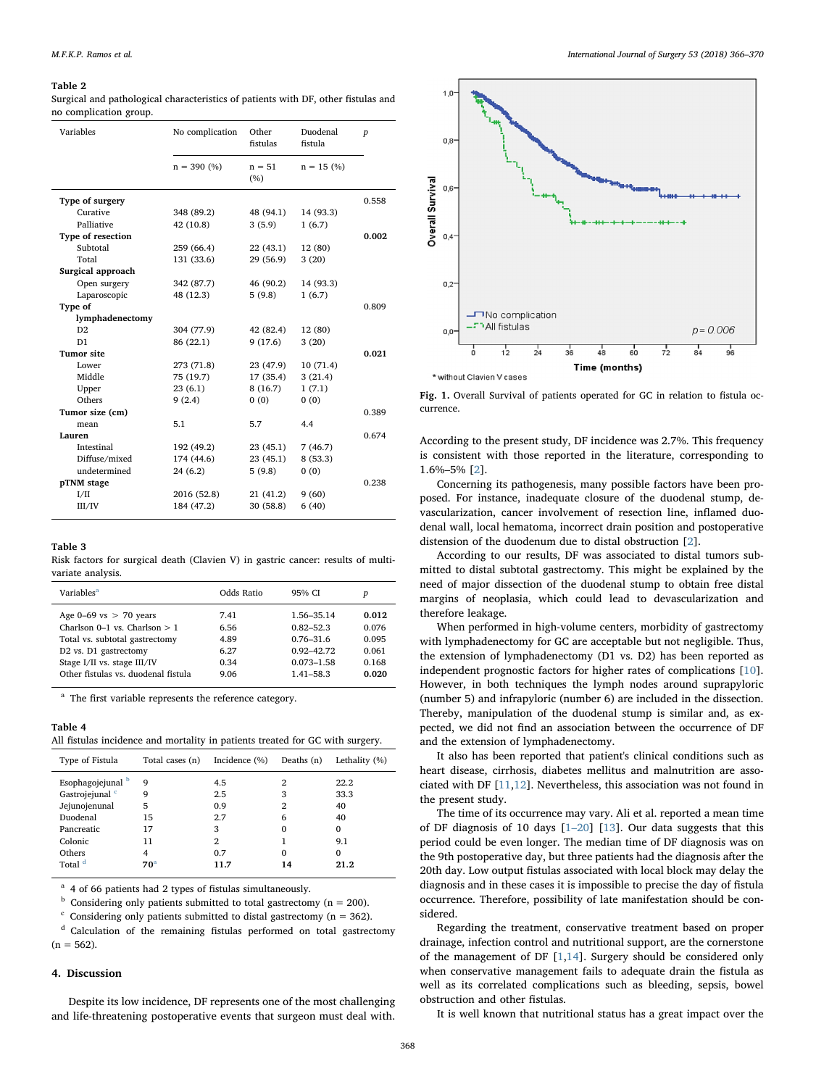#### <span id="page-2-0"></span>Table 2

Surgical and pathological characteristics of patients with DF, other fistulas and no complication group.

| Variables         | No complication | Other           | Duodenal     |                  |
|-------------------|-----------------|-----------------|--------------|------------------|
|                   |                 | fistulas        | fistula      | $\boldsymbol{p}$ |
|                   | $n = 390 (%)$   | $n = 51$<br>(%) | $n = 15$ (%) |                  |
| Type of surgery   |                 |                 |              | 0.558            |
| Curative          | 348 (89.2)      | 48 (94.1)       | 14 (93.3)    |                  |
| Palliative        | 42 (10.8)       | 3(5.9)          | 1(6.7)       |                  |
| Type of resection |                 |                 |              | 0.002            |
| Subtotal          | 259 (66.4)      | 22(43.1)        | 12 (80)      |                  |
| Total             | 131 (33.6)      | 29 (56.9)       | 3(20)        |                  |
| Surgical approach |                 |                 |              |                  |
| Open surgery      | 342 (87.7)      | 46 (90.2)       | 14 (93.3)    |                  |
| Laparoscopic      | 48 (12.3)       | 5(9.8)          | 1(6.7)       |                  |
| Type of           |                 |                 |              | 0.809            |
| lymphadenectomy   |                 |                 |              |                  |
| D2                | 304 (77.9)      | 42 (82.4)       | 12 (80)      |                  |
| D1                | 86 (22.1)       | 9(17.6)         | 3(20)        |                  |
| <b>Tumor site</b> |                 |                 |              | 0.021            |
| Lower             | 273 (71.8)      | 23 (47.9)       | 10(71.4)     |                  |
| Middle            | 75 (19.7)       | 17 (35.4)       | 3(21.4)      |                  |
| Upper             | 23(6.1)         | 8(16.7)         | 1(7.1)       |                  |
| Others            | 9(2.4)          | 0(0)            | 0(0)         |                  |
| Tumor size (cm)   |                 |                 |              | 0.389            |
| mean              | 5.1             | 5.7             | 4.4          |                  |
| Lauren            |                 |                 |              | 0.674            |
| Intestinal        | 192 (49.2)      | 23(45.1)        | 7(46.7)      |                  |
| Diffuse/mixed     | 174 (44.6)      | 23(45.1)        | 8(53.3)      |                  |
| undetermined      | 24(6.2)         | 5(9.8)          | 0(0)         |                  |
| pTNM stage        |                 |                 |              | 0.238            |
| I/II              | 2016 (52.8)     | 21 (41.2)       | 9(60)        |                  |
| III/IV            | 184 (47.2)      | 30(58.8)        | 6(40)        |                  |
|                   |                 |                 |              |                  |

#### <span id="page-2-1"></span>Table 3

Risk factors for surgical death (Clavien V) in gastric cancer: results of multivariate analysis.

| Variables <sup>a</sup>              | Odds Ratio | 95% CI         | p     |
|-------------------------------------|------------|----------------|-------|
| Age $0-69$ vs $> 70$ years          | 7.41       | 1.56-35.14     | 0.012 |
| Charlson $0-1$ vs. Charlson $> 1$   | 6.56       | $0.82 - 52.3$  | 0.076 |
| Total vs. subtotal gastrectomy      | 4.89       | $0.76 - 31.6$  | 0.095 |
| D2 vs. D1 gastrectomy               | 6.27       | $0.92 - 42.72$ | 0.061 |
| Stage I/II vs. stage III/IV         | 0.34       | $0.073 - 1.58$ | 0.168 |
| Other fistulas vs. duodenal fistula | 9.06       | $1.41 - 58.3$  | 0.020 |

<span id="page-2-4"></span><sup>a</sup> The first variable represents the reference category.

#### <span id="page-2-2"></span>Table 4

All fistulas incidence and mortality in patients treated for GC with surgery.

| Type of Fistula            | Total cases (n) | Incidence (%) | Deaths $(n)$ | Lethality (%) |
|----------------------------|-----------------|---------------|--------------|---------------|
| Esophagojejunal b          | 9               | 4.5           | 2            | 22.2          |
| Gastrojejunal <sup>c</sup> | 9               | 2.5           | 3            | 33.3          |
| Jejunojenunal              | 5               | 0.9           | 2            | 40            |
| Duodenal                   | 15              | 2.7           | 6            | 40            |
| Pancreatic                 | 17              | 3             | 0            | $\Omega$      |
| Colonic                    | 11              | 2             |              | 9.1           |
| Others                     | 4               | 0.7           | 0            | $\Omega$      |
| Total <sup>d</sup>         | 70 <sup>a</sup> | 11.7          | 14           | 21.2          |

<span id="page-2-8"></span> $a$  4 of 66 patients had 2 types of fistulas simultaneously.

<span id="page-2-5"></span> $<sup>b</sup>$  Considering only patients submitted to total gastrectomy (n = 200).</sup>

<span id="page-2-6"></span> $\degree$  Considering only patients submitted to distal gastrectomy (n = 362).

<span id="page-2-7"></span><sup>d</sup> Calculation of the remaining fistulas performed on total gastrectomy  $(n = 562)$ .

## 4. Discussion

Despite its low incidence, DF represents one of the most challenging and life-threatening postoperative events that surgeon must deal with.

<span id="page-2-3"></span>

Fig. 1. Overall Survival of patients operated for GC in relation to fistula occurrence.

According to the present study, DF incidence was 2.7%. This frequency is consistent with those reported in the literature, corresponding to 1.6%–5% [\[2](#page-4-1)].

Concerning its pathogenesis, many possible factors have been proposed. For instance, inadequate closure of the duodenal stump, devascularization, cancer involvement of resection line, inflamed duodenal wall, local hematoma, incorrect drain position and postoperative distension of the duodenum due to distal obstruction [[2](#page-4-1)].

According to our results, DF was associated to distal tumors submitted to distal subtotal gastrectomy. This might be explained by the need of major dissection of the duodenal stump to obtain free distal margins of neoplasia, which could lead to devascularization and therefore leakage.

When performed in high-volume centers, morbidity of gastrectomy with lymphadenectomy for GC are acceptable but not negligible. Thus, the extension of lymphadenectomy (D1 vs. D2) has been reported as independent prognostic factors for higher rates of complications [\[10](#page-4-9)]. However, in both techniques the lymph nodes around suprapyloric (number 5) and infrapyloric (number 6) are included in the dissection. Thereby, manipulation of the duodenal stump is similar and, as expected, we did not find an association between the occurrence of DF and the extension of lymphadenectomy.

It also has been reported that patient's clinical conditions such as heart disease, cirrhosis, diabetes mellitus and malnutrition are associated with DF [\[11](#page-4-10)[,12](#page-4-11)]. Nevertheless, this association was not found in the present study.

The time of its occurrence may vary. Ali et al. reported a mean time of DF diagnosis of 10 days [1–[20](#page-4-0)] [[13\]](#page-4-12). Our data suggests that this period could be even longer. The median time of DF diagnosis was on the 9th postoperative day, but three patients had the diagnosis after the 20th day. Low output fistulas associated with local block may delay the diagnosis and in these cases it is impossible to precise the day of fistula occurrence. Therefore, possibility of late manifestation should be considered.

Regarding the treatment, conservative treatment based on proper drainage, infection control and nutritional support, are the cornerstone of the management of DF [\[1,](#page-4-0)[14\]](#page-4-13). Surgery should be considered only when conservative management fails to adequate drain the fistula as well as its correlated complications such as bleeding, sepsis, bowel obstruction and other fistulas.

It is well known that nutritional status has a great impact over the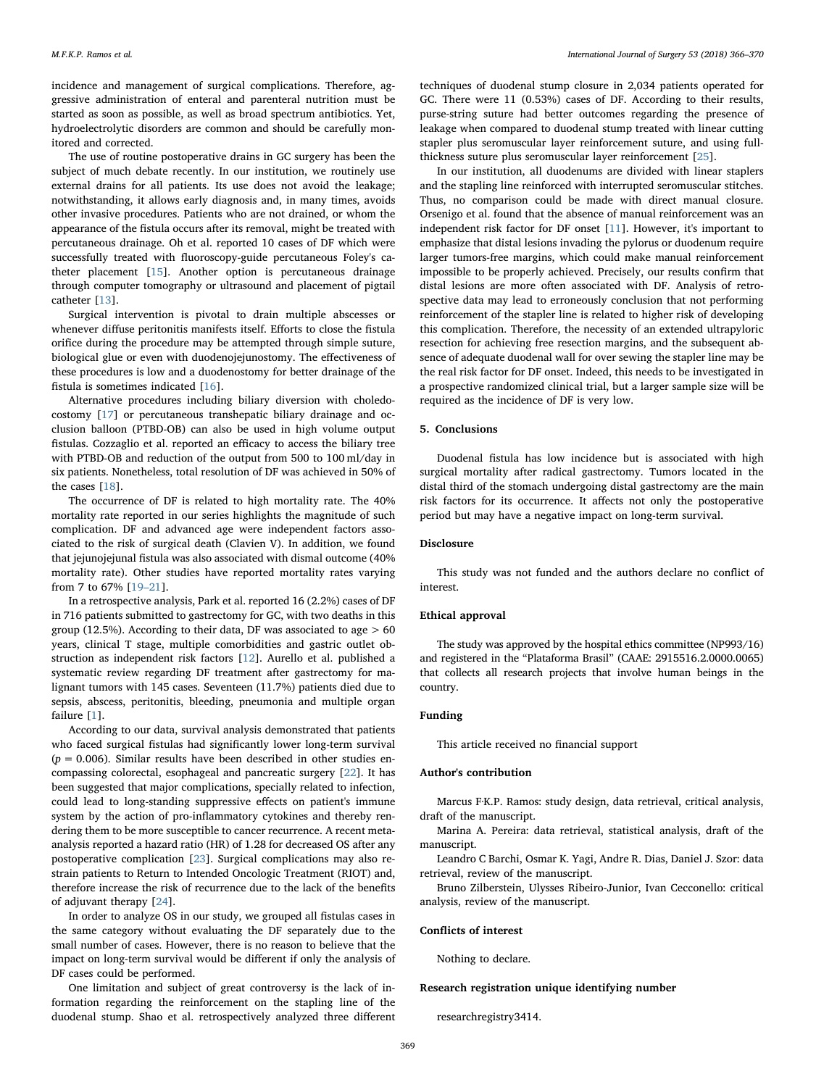incidence and management of surgical complications. Therefore, aggressive administration of enteral and parenteral nutrition must be started as soon as possible, as well as broad spectrum antibiotics. Yet, hydroelectrolytic disorders are common and should be carefully monitored and corrected.

The use of routine postoperative drains in GC surgery has been the subject of much debate recently. In our institution, we routinely use external drains for all patients. Its use does not avoid the leakage; notwithstanding, it allows early diagnosis and, in many times, avoids other invasive procedures. Patients who are not drained, or whom the appearance of the fistula occurs after its removal, might be treated with percutaneous drainage. Oh et al. reported 10 cases of DF which were successfully treated with fluoroscopy-guide percutaneous Foley's catheter placement [\[15](#page-4-14)]. Another option is percutaneous drainage through computer tomography or ultrasound and placement of pigtail catheter [\[13](#page-4-12)].

Surgical intervention is pivotal to drain multiple abscesses or whenever diffuse peritonitis manifests itself. Efforts to close the fistula orifice during the procedure may be attempted through simple suture, biological glue or even with duodenojejunostomy. The effectiveness of these procedures is low and a duodenostomy for better drainage of the fistula is sometimes indicated [[16\]](#page-4-15).

Alternative procedures including biliary diversion with choledocostomy [\[17](#page-4-16)] or percutaneous transhepatic biliary drainage and occlusion balloon (PTBD-OB) can also be used in high volume output fistulas. Cozzaglio et al. reported an efficacy to access the biliary tree with PTBD-OB and reduction of the output from 500 to 100 ml/day in six patients. Nonetheless, total resolution of DF was achieved in 50% of the cases [[18](#page-4-17)].

The occurrence of DF is related to high mortality rate. The 40% mortality rate reported in our series highlights the magnitude of such complication. DF and advanced age were independent factors associated to the risk of surgical death (Clavien V). In addition, we found that jejunojejunal fistula was also associated with dismal outcome (40% mortality rate). Other studies have reported mortality rates varying from 7 to 67% [19–[21\]](#page-4-18).

In a retrospective analysis, Park et al. reported 16 (2.2%) cases of DF in 716 patients submitted to gastrectomy for GC, with two deaths in this group (12.5%). According to their data, DF was associated to age  $> 60$ years, clinical T stage, multiple comorbidities and gastric outlet obstruction as independent risk factors [\[12](#page-4-11)]. Aurello et al. published a systematic review regarding DF treatment after gastrectomy for malignant tumors with 145 cases. Seventeen (11.7%) patients died due to sepsis, abscess, peritonitis, bleeding, pneumonia and multiple organ failure [[1](#page-4-0)].

According to our data, survival analysis demonstrated that patients who faced surgical fistulas had significantly lower long-term survival  $(p = 0.006)$ . Similar results have been described in other studies encompassing colorectal, esophageal and pancreatic surgery [\[22](#page-4-19)]. It has been suggested that major complications, specially related to infection, could lead to long-standing suppressive effects on patient's immune system by the action of pro-inflammatory cytokines and thereby rendering them to be more susceptible to cancer recurrence. A recent metaanalysis reported a hazard ratio (HR) of 1.28 for decreased OS after any postoperative complication [\[23](#page-4-20)]. Surgical complications may also restrain patients to Return to Intended Oncologic Treatment (RIOT) and, therefore increase the risk of recurrence due to the lack of the benefits of adjuvant therapy [[24\]](#page-4-21).

In order to analyze OS in our study, we grouped all fistulas cases in the same category without evaluating the DF separately due to the small number of cases. However, there is no reason to believe that the impact on long-term survival would be different if only the analysis of DF cases could be performed.

One limitation and subject of great controversy is the lack of information regarding the reinforcement on the stapling line of the duodenal stump. Shao et al. retrospectively analyzed three different

techniques of duodenal stump closure in 2,034 patients operated for GC. There were 11 (0.53%) cases of DF. According to their results, purse-string suture had better outcomes regarding the presence of leakage when compared to duodenal stump treated with linear cutting stapler plus seromuscular layer reinforcement suture, and using fullthickness suture plus seromuscular layer reinforcement [[25\]](#page-4-22).

In our institution, all duodenums are divided with linear staplers and the stapling line reinforced with interrupted seromuscular stitches. Thus, no comparison could be made with direct manual closure. Orsenigo et al. found that the absence of manual reinforcement was an independent risk factor for DF onset [[11\]](#page-4-10). However, it's important to emphasize that distal lesions invading the pylorus or duodenum require larger tumors-free margins, which could make manual reinforcement impossible to be properly achieved. Precisely, our results confirm that distal lesions are more often associated with DF. Analysis of retrospective data may lead to erroneously conclusion that not performing reinforcement of the stapler line is related to higher risk of developing this complication. Therefore, the necessity of an extended ultrapyloric resection for achieving free resection margins, and the subsequent absence of adequate duodenal wall for over sewing the stapler line may be the real risk factor for DF onset. Indeed, this needs to be investigated in a prospective randomized clinical trial, but a larger sample size will be required as the incidence of DF is very low.

## 5. Conclusions

Duodenal fistula has low incidence but is associated with high surgical mortality after radical gastrectomy. Tumors located in the distal third of the stomach undergoing distal gastrectomy are the main risk factors for its occurrence. It affects not only the postoperative period but may have a negative impact on long-term survival.

## Disclosure

This study was not funded and the authors declare no conflict of interest.

## Ethical approval

The study was approved by the hospital ethics committee (NP993/16) and registered in the "Plataforma Brasil" (CAAE: 2915516.2.0000.0065) that collects all research projects that involve human beings in the country.

#### Funding

This article received no financial support

## Author's contribution

Marcus F·K.P. Ramos: study design, data retrieval, critical analysis, draft of the manuscript.

Marina A. Pereira: data retrieval, statistical analysis, draft of the manuscript.

Leandro C Barchi, Osmar K. Yagi, Andre R. Dias, Daniel J. Szor: data retrieval, review of the manuscript.

Bruno Zilberstein, Ulysses Ribeiro-Junior, Ivan Cecconello: critical analysis, review of the manuscript.

### Conflicts of interest

Nothing to declare.

#### Research registration unique identifying number

researchregistry3414.